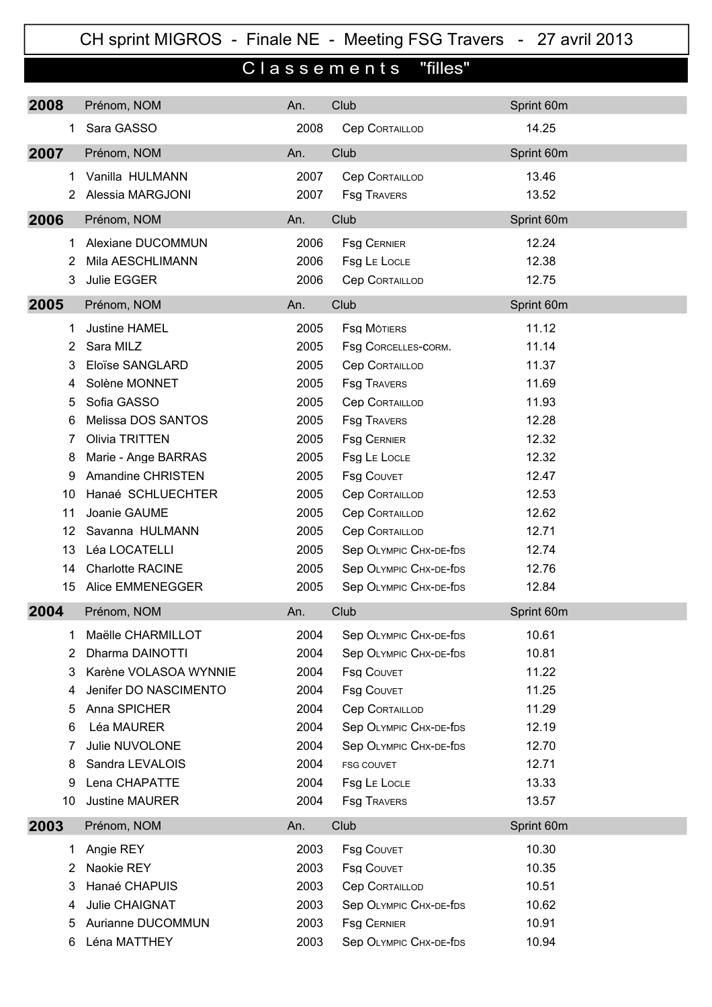## CH sprint MIGROS - Finale NE - Meeting FSG Travers - 27 avril 2013

## Classements "filles"

| 2008           | Prénom, NOM             | An.  | Club                   | Sprint 60m |
|----------------|-------------------------|------|------------------------|------------|
| $\mathbf{1}$   | Sara GASSO              | 2008 | <b>Cep CORTAILLOD</b>  | 14.25      |
| 2007           | Prénom, NOM             | An.  | Club                   | Sprint 60m |
| 1.             | Vanilla HULMANN         | 2007 | <b>Cep CORTAILLOD</b>  | 13.46      |
| 2              | Alessia MARGJONI        | 2007 | <b>Fsg TRAVERS</b>     | 13.52      |
| 2006           | Prénom, NOM             | An.  | Club                   | Sprint 60m |
| 1.             | Alexiane DUCOMMUN       | 2006 | <b>Fsg CERNIER</b>     | 12.24      |
| $\overline{2}$ | Mila AESCHLIMANN        | 2006 | Fsg LE LOCLE           | 12.38      |
| 3              | Julie EGGER             | 2006 | <b>Cep CORTAILLOD</b>  | 12.75      |
| 2005           | Prénom, NOM             | An.  | Club                   | Sprint 60m |
| 1.             | <b>Justine HAMEL</b>    | 2005 | <b>Fsg MÔTIERS</b>     | 11.12      |
| $\overline{2}$ | Sara MILZ               | 2005 | Fsg CORCELLES-CORM.    | 11.14      |
| 3              | Eloïse SANGLARD         | 2005 | <b>Cep CORTAILLOD</b>  | 11.37      |
| 4              | Solène MONNET           | 2005 | <b>Fsg TRAVERS</b>     | 11.69      |
| 5              | Sofia GASSO             | 2005 | <b>Cep CORTAILLOD</b>  | 11.93      |
| 6              | Melissa DOS SANTOS      | 2005 | <b>Fsg TRAVERS</b>     | 12.28      |
| 7              | Olivia TRITTEN          | 2005 | <b>Fsg CERNIER</b>     | 12.32      |
| 8              | Marie - Ange BARRAS     | 2005 | Fsg LE LOCLE           | 12.32      |
| 9              | Amandine CHRISTEN       | 2005 | <b>Fsg COUVET</b>      | 12.47      |
| 10             | Hanaé SCHLUECHTER       | 2005 | <b>Cep CORTAILLOD</b>  | 12.53      |
| 11             | Joanie GAUME            | 2005 | <b>Cep CORTAILLOD</b>  | 12.62      |
| 12             | Savanna HULMANN         | 2005 | <b>Cep CORTAILLOD</b>  | 12.71      |
| 13             | Léa LOCATELLI           | 2005 | Sep OLYMPIC CHX-DE-fDS | 12.74      |
| 14             | <b>Charlotte RACINE</b> | 2005 | Sep OLYMPIC CHX-DE-fDS | 12.76      |
| 15             | Alice EMMENEGGER        | 2005 | Sep OLYMPIC CHX-DE-fDS | 12.84      |
| 2004           | Prénom, NOM             | An.  | Club                   | Sprint 60m |
| 1              | Maëlle CHARMILLOT       | 2004 | Sep OLYMPIC CHX-DE-fDS | 10.61      |
| 2              | Dharma DAINOTTI         | 2004 | Sep OLYMPIC CHX-DE-fDS | 10.81      |
| 3              | Karène VOLASOA WYNNIE   | 2004 | <b>Fsg COUVET</b>      | 11.22      |
| 4              | Jenifer DO NASCIMENTO   | 2004 | <b>Fsg COUVET</b>      | 11.25      |
| 5              | Anna SPICHER            | 2004 | <b>Cep CORTAILLOD</b>  | 11.29      |
| 6              | Léa MAURER              | 2004 | Sep OLYMPIC CHX-DE-fDS | 12.19      |
| 7              | Julie NUVOLONE          | 2004 | Sep OLYMPIC CHX-DE-fDS | 12.70      |
| 8              | Sandra LEVALOIS         | 2004 | FSG COUVET             | 12.71      |
| 9              | Lena CHAPATTE           | 2004 | Fsg LE LOCLE           | 13.33      |
| 10             | <b>Justine MAURER</b>   | 2004 | <b>Fsg TRAVERS</b>     | 13.57      |
| 2003           | Prénom, NOM             | An.  | Club                   | Sprint 60m |
| 1.             | Angie REY               | 2003 | <b>Fsg COUVET</b>      | 10.30      |
| 2              | Naokie REY              | 2003 | <b>Fsg COUVET</b>      | 10.35      |
| 3              | Hanaé CHAPUIS           | 2003 | <b>Cep CORTAILLOD</b>  | 10.51      |
| 4              | Julie CHAIGNAT          | 2003 | Sep OLYMPIC CHX-DE-fDS | 10.62      |
| 5              | Aurianne DUCOMMUN       | 2003 | <b>Fsg CERNIER</b>     | 10.91      |
| 6              | Léna MATTHEY            | 2003 | Sep OLYMPIC CHX-DE-fDS | 10.94      |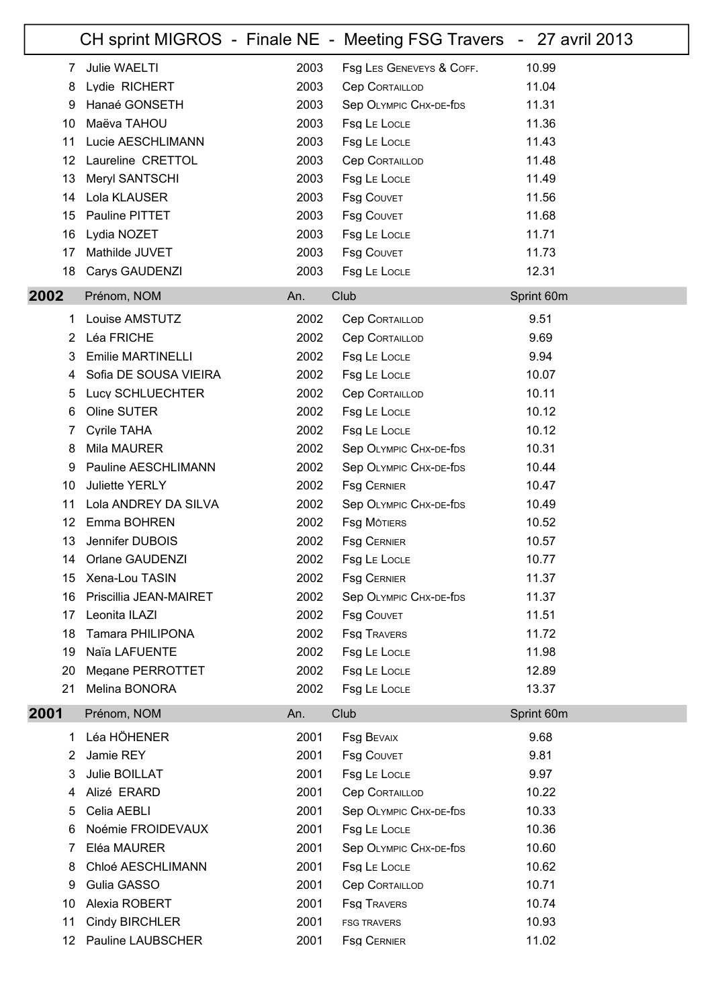|                 |                          |      | CH sprint MIGROS - Finale NE - Meeting FSG Travers - 27 avril 2013 |            |
|-----------------|--------------------------|------|--------------------------------------------------------------------|------------|
| 7               | Julie WAELTI             | 2003 | Fsg LES GENEVEYS & COFF.                                           | 10.99      |
| 8               | Lydie RICHERT            | 2003 | <b>Cep CORTAILLOD</b>                                              | 11.04      |
| 9               | Hanaé GONSETH            | 2003 | Sep OLYMPIC CHX-DE-fDS                                             | 11.31      |
| 10              | Maëva TAHOU              | 2003 | Fsg LE LOCLE                                                       | 11.36      |
| 11              | Lucie AESCHLIMANN        | 2003 | Fsg LE LOCLE                                                       | 11.43      |
| 12 <sup>°</sup> | Laureline CRETTOL        | 2003 | <b>Cep CORTAILLOD</b>                                              | 11.48      |
| 13              | Meryl SANTSCHI           | 2003 | Fsg LE LOCLE                                                       | 11.49      |
| 14              | Lola KLAUSER             | 2003 | <b>Fsg COUVET</b>                                                  | 11.56      |
| 15              | Pauline PITTET           | 2003 | <b>Fsg COUVET</b>                                                  | 11.68      |
| 16              | Lydia NOZET              | 2003 | Fsg LE LOCLE                                                       | 11.71      |
| 17              | Mathilde JUVET           | 2003 | <b>Fsg COUVET</b>                                                  | 11.73      |
| 18              | Carys GAUDENZI           | 2003 | Fsg LE LOCLE                                                       | 12.31      |
| 2002            | Prénom, NOM              | An.  | Club                                                               | Sprint 60m |
| 1               | Louise AMSTUTZ           | 2002 | <b>Cep CORTAILLOD</b>                                              | 9.51       |
| 2               | Léa FRICHE               | 2002 | <b>Cep CORTAILLOD</b>                                              | 9.69       |
| 3               | <b>Emilie MARTINELLI</b> | 2002 | Fsg LE LOCLE                                                       | 9.94       |
| 4               | Sofia DE SOUSA VIEIRA    | 2002 | Fsg LE LOCLE                                                       | 10.07      |
| 5               | Lucy SCHLUECHTER         | 2002 | <b>Cep CORTAILLOD</b>                                              | 10.11      |
| 6               | Oline SUTER              | 2002 | Fsg LE LOCLE                                                       | 10.12      |
| 7               | <b>Cyrile TAHA</b>       | 2002 | Fsg LE LOCLE                                                       | 10.12      |
| 8               | Mila MAURER              | 2002 | Sep OLYMPIC CHX-DE-fDS                                             | 10.31      |
| 9               | Pauline AESCHLIMANN      | 2002 | Sep OLYMPIC CHX-DE-fDS                                             | 10.44      |
| 10              | <b>Juliette YERLY</b>    | 2002 | <b>Fsg CERNIER</b>                                                 | 10.47      |
| 11              | Lola ANDREY DA SILVA     | 2002 | Sep OLYMPIC CHX-DE-fDS                                             | 10.49      |
| 12              | Emma BOHREN              | 2002 | <b>Fsg MÔTIERS</b>                                                 | 10.52      |
| 13              | Jennifer DUBOIS          | 2002 | <b>Fsg CERNIER</b>                                                 | 10.57      |
| 14              | Orlane GAUDENZI          | 2002 | Fsg LE LOCLE                                                       | 10.77      |
| 15              | Xena-Lou TASIN           | 2002 | <b>FSG CERNIER</b>                                                 | 11.37      |
| 16              | Priscillia JEAN-MAIRET   | 2002 | Sep OLYMPIC CHX-DE-fDS                                             | 11.37      |
| 17              | Leonita ILAZI            | 2002 | <b>Fsg COUVET</b>                                                  | 11.51      |
| 18              | <b>Tamara PHILIPONA</b>  | 2002 | <b>Fsg TRAVERS</b>                                                 | 11.72      |
| 19              | Naïa LAFUENTE            | 2002 | Fsg LE LOCLE                                                       | 11.98      |
| 20              | Megane PERROTTET         | 2002 | Fsg LE LOCLE                                                       | 12.89      |
| 21              | Melina BONORA            | 2002 | Fsg LE LOCLE                                                       | 13.37      |
| 2001            | Prénom, NOM              | An.  | Club                                                               | Sprint 60m |
| 1               | Léa HÖHENER              | 2001 | <b>Fsg BEVAIX</b>                                                  | 9.68       |
| 2               | Jamie REY                | 2001 | <b>Fsg COUVET</b>                                                  | 9.81       |
| 3               | Julie BOILLAT            | 2001 | Fsg LE LOCLE                                                       | 9.97       |
| 4               | Alizé ERARD              | 2001 | <b>Cep CORTAILLOD</b>                                              | 10.22      |
| 5               | Celia AEBLI              | 2001 | Sep OLYMPIC CHX-DE-fDS                                             | 10.33      |
| 6               | Noémie FROIDEVAUX        | 2001 | Fsg LE LOCLE                                                       | 10.36      |
| 7               | Eléa MAURER              | 2001 | Sep OLYMPIC CHX-DE-fDS                                             | 10.60      |
| 8               | Chloé AESCHLIMANN        | 2001 | Fsg LE LOCLE                                                       | 10.62      |
| 9               | Gulia GASSO              | 2001 | <b>Cep CORTAILLOD</b>                                              | 10.71      |
| 10              | Alexia ROBERT            | 2001 | <b>Fsg TRAVERS</b>                                                 | 10.74      |
| 11              | <b>Cindy BIRCHLER</b>    | 2001 | <b>FSG TRAVERS</b>                                                 | 10.93      |
| 12              | Pauline LAUBSCHER        | 2001 | <b>Fsg CERNIER</b>                                                 | 11.02      |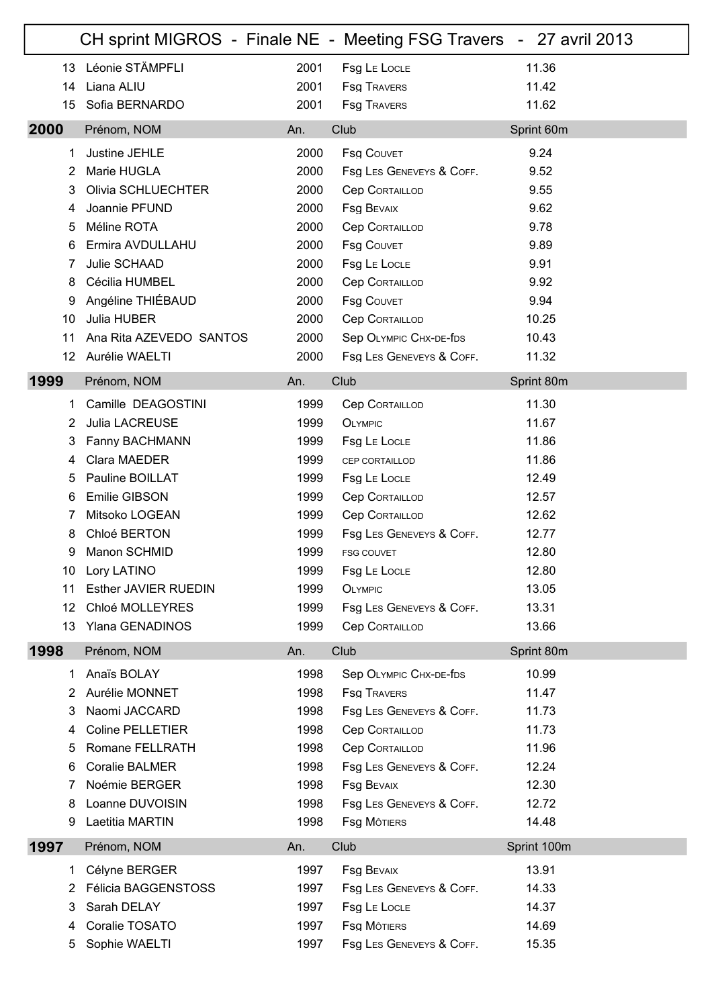|                   | CH sprint MIGROS - Finale NE - Meeting FSG Travers - 27 avril 2013 |      |                          |             |
|-------------------|--------------------------------------------------------------------|------|--------------------------|-------------|
| 13                | Léonie STÄMPFLI                                                    | 2001 | Fsg LE LOCLE             | 11.36       |
| 14                | Liana ALIU                                                         | 2001 | <b>Fsg TRAVERS</b>       | 11.42       |
| 15                | Sofia BERNARDO                                                     | 2001 | <b>Fsg TRAVERS</b>       | 11.62       |
| 2000              | Prénom, NOM                                                        | An.  | Club                     | Sprint 60m  |
| 1                 | Justine JEHLE                                                      | 2000 | <b>Fsg COUVET</b>        | 9.24        |
| 2                 | Marie HUGLA                                                        | 2000 | Fsg LES GENEVEYS & COFF. | 9.52        |
| 3                 | Olivia SCHLUECHTER                                                 | 2000 | <b>Cep CORTAILLOD</b>    | 9.55        |
| 4                 | Joannie PFUND                                                      | 2000 | <b>Fsg BEVAIX</b>        | 9.62        |
| 5                 | Méline ROTA                                                        | 2000 | <b>Cep CORTAILLOD</b>    | 9.78        |
| 6                 | Ermira AVDULLAHU                                                   | 2000 | <b>Fsg COUVET</b>        | 9.89        |
| 7                 | Julie SCHAAD                                                       | 2000 | Fsg LE LOCLE             | 9.91        |
| 8                 | Cécilia HUMBEL                                                     | 2000 | <b>Cep CORTAILLOD</b>    | 9.92        |
| 9                 | Angéline THIÉBAUD                                                  | 2000 | <b>Fsg COUVET</b>        | 9.94        |
| 10                | Julia HUBER                                                        | 2000 | <b>Cep CORTAILLOD</b>    | 10.25       |
| 11                | Ana Rita AZEVEDO SANTOS                                            | 2000 | Sep OLYMPIC CHX-DE-fDS   | 10.43       |
| $12 \overline{ }$ | Aurélie WAELTI                                                     | 2000 | Fsg LES GENEVEYS & COFF. | 11.32       |
| 1999              | Prénom, NOM                                                        | An.  | Club                     | Sprint 80m  |
| 1.                | Camille DEAGOSTINI                                                 | 1999 | <b>Cep CORTAILLOD</b>    | 11.30       |
| 2                 | Julia LACREUSE                                                     | 1999 | <b>OLYMPIC</b>           | 11.67       |
| 3                 | Fanny BACHMANN                                                     | 1999 | Fsg LE LOCLE             | 11.86       |
| 4                 | Clara MAEDER                                                       | 1999 | CEP CORTAILLOD           | 11.86       |
| 5                 | Pauline BOILLAT                                                    | 1999 | Fsg LE LOCLE             | 12.49       |
| 6                 | <b>Emilie GIBSON</b>                                               | 1999 | <b>Cep CORTAILLOD</b>    | 12.57       |
| 7                 | Mitsoko LOGEAN                                                     | 1999 | <b>Cep CORTAILLOD</b>    | 12.62       |
| 8                 | Chloé BERTON                                                       | 1999 | Fsg LES GENEVEYS & COFF. | 12.77       |
| 9                 | Manon SCHMID                                                       | 1999 | <b>FSG COUVET</b>        | 12.80       |
| 10                | Lory LATINO                                                        | 1999 | Fsg LE LOCLE             | 12.80       |
| 11                | <b>Esther JAVIER RUEDIN</b>                                        | 1999 | <b>OLYMPIC</b>           | 13.05       |
| 12                | Chloé MOLLEYRES                                                    | 1999 | Fsg LES GENEVEYS & COFF. | 13.31       |
| 13                | Ylana GENADINOS                                                    | 1999 | <b>Cep CORTAILLOD</b>    | 13.66       |
| 1998              | Prénom, NOM                                                        | An.  | Club                     | Sprint 80m  |
| 1.                | Anaïs BOLAY                                                        | 1998 | Sep OLYMPIC CHX-DE-fDS   | 10.99       |
| $\overline{2}$    | Aurélie MONNET                                                     | 1998 | <b>Fsg TRAVERS</b>       | 11.47       |
| 3                 | Naomi JACCARD                                                      | 1998 | Fsg LES GENEVEYS & COFF. | 11.73       |
| 4                 | <b>Coline PELLETIER</b>                                            | 1998 | <b>Cep CORTAILLOD</b>    | 11.73       |
| 5                 | Romane FELLRATH                                                    | 1998 | <b>Cep CORTAILLOD</b>    | 11.96       |
| 6                 | <b>Coralie BALMER</b>                                              | 1998 | Fsg LES GENEVEYS & COFF. | 12.24       |
| 7                 | Noémie BERGER                                                      | 1998 | <b>Fsg BEVAIX</b>        | 12.30       |
| 8                 | Loanne DUVOISIN                                                    | 1998 | Fsg LES GENEVEYS & COFF. | 12.72       |
| 9                 | Laetitia MARTIN                                                    | 1998 | <b>Fsg MOTIERS</b>       | 14.48       |
| 1997              | Prénom, NOM                                                        | An.  | Club                     | Sprint 100m |
| 1.                | Célyne BERGER                                                      | 1997 | <b>Fsg BEVAIX</b>        | 13.91       |
| 2                 | Félicia BAGGENSTOSS                                                | 1997 | Fsg LES GENEVEYS & COFF. | 14.33       |
| 3                 | Sarah DELAY                                                        | 1997 | Fsg LE LOCLE             | 14.37       |
| 4                 | Coralie TOSATO                                                     | 1997 | <b>Fsg MOTIERS</b>       | 14.69       |
| 5                 | Sophie WAELTI                                                      | 1997 | Fsg LES GENEVEYS & COFF. | 15.35       |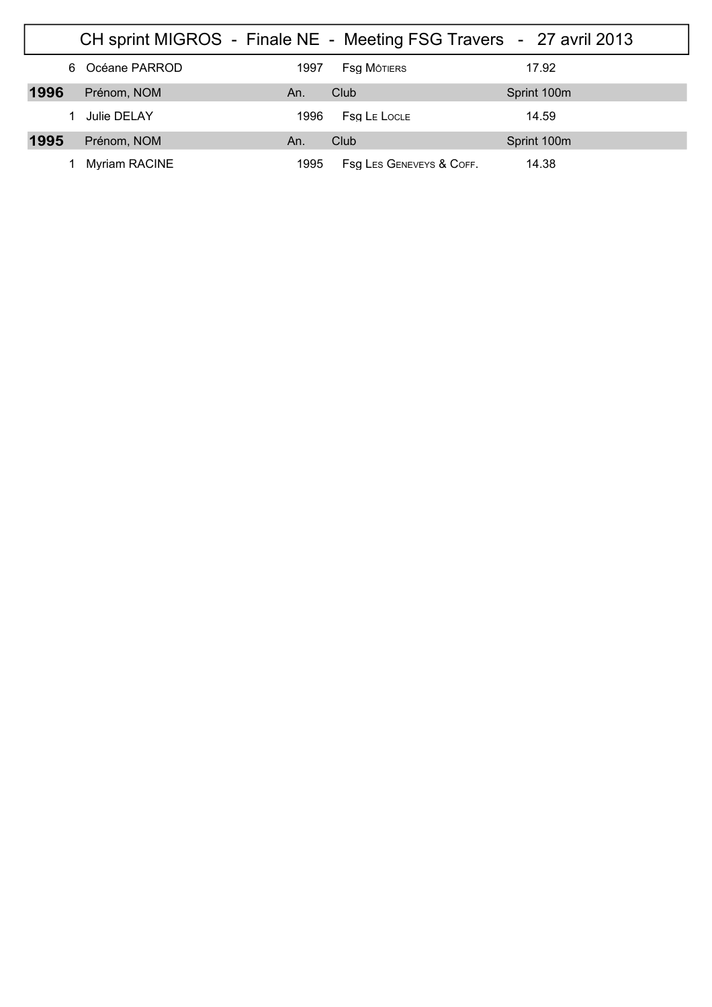|      | CH sprint MIGROS - Finale NE - Meeting FSG Travers - 27 avril 2013 |      |                          |             |
|------|--------------------------------------------------------------------|------|--------------------------|-------------|
|      | 6 Océane PARROD                                                    | 1997 | <b>Fsa M</b> ôtiers      | 17.92       |
| 1996 | Prénom, NOM                                                        | An.  | Club                     | Sprint 100m |
|      | Julie DELAY                                                        | 1996 | <b>Fsg LE LOCLE</b>      | 14.59       |
| 1995 | Prénom, NOM                                                        | An.  | Club                     | Sprint 100m |
|      | <b>Myriam RACINE</b>                                               | 1995 | Fsg Les Geneveys & COFF. | 14.38       |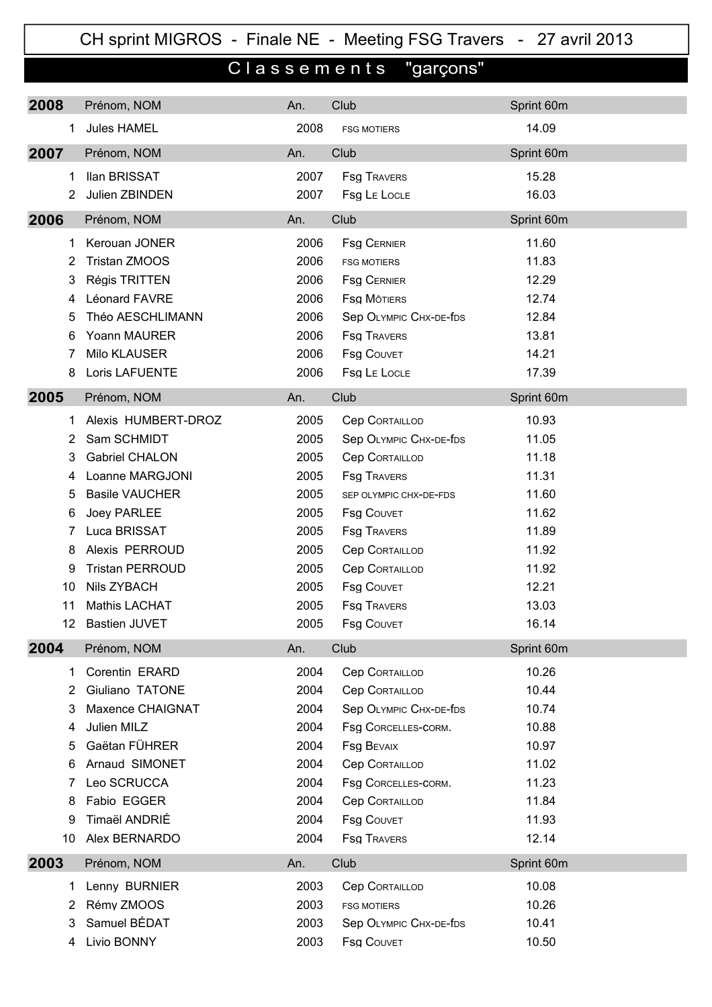CH sprint MIGROS - Finale NE - Meeting FSG Travers - 27 avril 2013

## C l a s s e m e n t s "garçons"

| Sprint 60m |
|------------|
| 14.09      |
| Sprint 60m |
| 15.28      |
| 16.03      |
| Sprint 60m |
| 11.60      |
| 11.83      |
| 12.29      |
| 12.74      |
| 12.84      |
| 13.81      |
| 14.21      |
| 17.39      |
| Sprint 60m |
| 10.93      |
| 11.05      |
| 11.18      |
| 11.31      |
| 11.60      |
| 11.62      |
| 11.89      |
| 11.92      |
| 11.92      |
| 12.21      |
| 13.03      |
| 16.14      |
| Sprint 60m |
| 10.26      |
| 10.44      |
| 10.74      |
| 10.88      |
| 10.97      |
| 11.02      |
| 11.23      |
| 11.84      |
| 11.93      |
| 12.14      |
| Sprint 60m |
| 10.08      |
| 10.26      |
| 10.41      |
| 10.50      |
|            |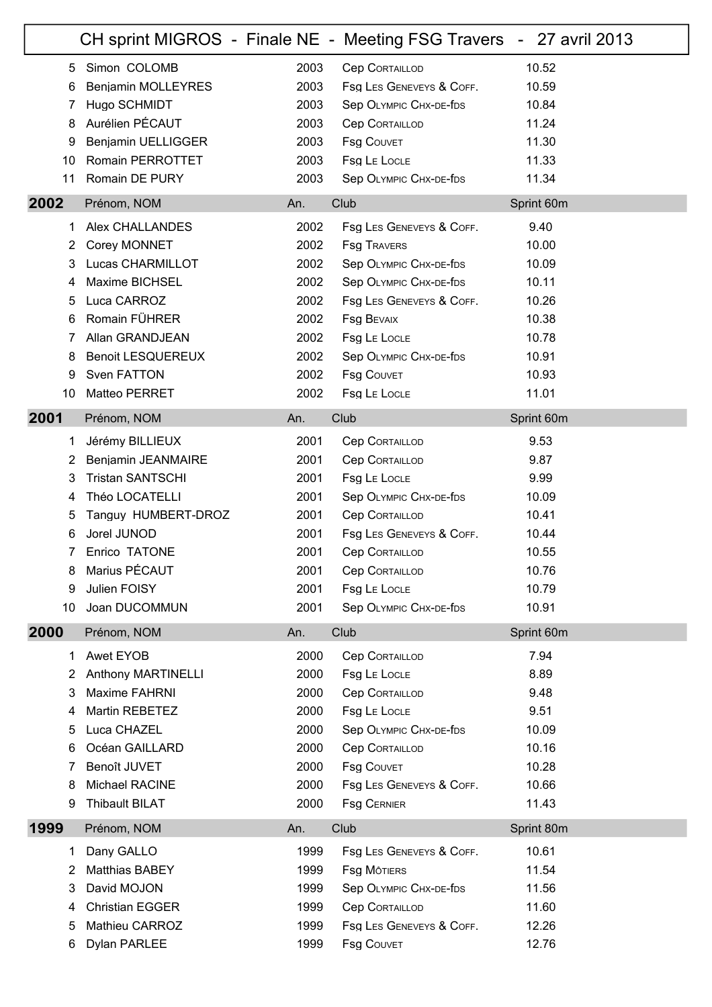|                       |                           |      | CH sprint MIGROS - Finale NE - Meeting FSG Travers - 27 avril 2013 |            |
|-----------------------|---------------------------|------|--------------------------------------------------------------------|------------|
| 5                     | Simon COLOMB              | 2003 | <b>Cep CORTAILLOD</b>                                              | 10.52      |
| 6                     | Benjamin MOLLEYRES        | 2003 | Fsg LES GENEVEYS & COFF.                                           | 10.59      |
| 7                     | Hugo SCHMIDT              | 2003 | Sep OLYMPIC CHX-DE-fDS                                             | 10.84      |
| 8                     | Aurélien PÉCAUT           | 2003 | <b>Cep CORTAILLOD</b>                                              | 11.24      |
| 9                     | Benjamin UELLIGGER        | 2003 | <b>Fsg COUVET</b>                                                  | 11.30      |
| 10                    | Romain PERROTTET          | 2003 | Fsg LE LOCLE                                                       | 11.33      |
| 11                    | Romain DE PURY            | 2003 | Sep OLYMPIC CHX-DE-fDS                                             | 11.34      |
| 2002                  | Prénom, NOM               | An.  | Club                                                               | Sprint 60m |
| 1.                    | Alex CHALLANDES           | 2002 | Fsg LES GENEVEYS & COFF.                                           | 9.40       |
| $\overline{2}$        | Corey MONNET              | 2002 | <b>Fsg TRAVERS</b>                                                 | 10.00      |
| 3                     | Lucas CHARMILLOT          | 2002 | Sep OLYMPIC CHX-DE-fDS                                             | 10.09      |
| 4                     | Maxime BICHSEL            | 2002 | Sep OLYMPIC CHX-DE-fDS                                             | 10.11      |
| 5                     | Luca CARROZ               | 2002 | Fsg LES GENEVEYS & COFF.                                           | 10.26      |
| 6                     | Romain FÜHRER             | 2002 | <b>Fsg BEVAIX</b>                                                  | 10.38      |
| 7                     | Allan GRANDJEAN           | 2002 | Fsg LE LOCLE                                                       | 10.78      |
| 8                     | <b>Benoit LESQUEREUX</b>  | 2002 | Sep OLYMPIC CHX-DE-fDS                                             | 10.91      |
| 9                     | Sven FATTON               | 2002 | <b>Fsg COUVET</b>                                                  | 10.93      |
| 10                    | Matteo PERRET             | 2002 | Fsg LE LOCLE                                                       | 11.01      |
| 2001                  | Prénom, NOM               | An.  | Club                                                               | Sprint 60m |
| 1                     | Jérémy BILLIEUX           | 2001 | <b>Cep CORTAILLOD</b>                                              | 9.53       |
| 2                     | Benjamin JEANMAIRE        | 2001 | <b>Cep CORTAILLOD</b>                                              | 9.87       |
| 3                     | <b>Tristan SANTSCHI</b>   | 2001 | Fsg LE LOCLE                                                       | 9.99       |
| 4                     | Théo LOCATELLI            | 2001 | Sep OLYMPIC CHX-DE-fDS                                             | 10.09      |
| 5                     | Tanguy HUMBERT-DROZ       | 2001 | <b>Cep CORTAILLOD</b>                                              | 10.41      |
| 6                     | Jorel JUNOD               | 2001 | Fsg LES GENEVEYS & COFF.                                           | 10.44      |
| 7                     | Enrico TATONE             | 2001 | <b>Cep CORTAILLOD</b>                                              | 10.55      |
| 8                     | Marius PÉCAUT             | 2001 | <b>Cep CORTAILLOD</b>                                              | 10.76      |
| 9                     | Julien FOISY              | 2001 | Fsg LE LOCLE                                                       | 10.79      |
| 10                    | Joan DUCOMMUN             | 2001 | Sep OLYMPIC CHX-DE-fDS                                             | 10.91      |
| 2000                  | Prénom, NOM               | An.  | Club                                                               | Sprint 60m |
| 1.                    | Awet EYOB                 | 2000 | <b>Cep CORTAILLOD</b>                                              | 7.94       |
| $\mathbf{2}^{\prime}$ | <b>Anthony MARTINELLI</b> | 2000 | Fsg LE LOCLE                                                       | 8.89       |
| 3                     | Maxime FAHRNI             | 2000 | <b>Cep CORTAILLOD</b>                                              | 9.48       |
| 4                     | Martin REBETEZ            | 2000 | Fsg LE LOCLE                                                       | 9.51       |
| 5                     | Luca CHAZEL               | 2000 | Sep OLYMPIC CHX-DE-fDS                                             | 10.09      |
| 6                     | Océan GAILLARD            | 2000 | <b>Cep CORTAILLOD</b>                                              | 10.16      |
| 7                     | Benoît JUVET              | 2000 | <b>Fsg COUVET</b>                                                  | 10.28      |
| 8                     | Michael RACINE            | 2000 | Fsg LES GENEVEYS & COFF.                                           | 10.66      |
| 9                     | <b>Thibault BILAT</b>     | 2000 | <b>Fsg CERNIER</b>                                                 | 11.43      |
| 1999                  | Prénom, NOM               | An.  | Club                                                               | Sprint 80m |
| 1                     | Dany GALLO                | 1999 | Fsg LES GENEVEYS & COFF.                                           | 10.61      |
| 2                     | <b>Matthias BABEY</b>     | 1999 | <b>Fsg MOTIERS</b>                                                 | 11.54      |
| 3                     | David MOJON               | 1999 | Sep OLYMPIC CHX-DE-fDS                                             | 11.56      |
| 4                     | <b>Christian EGGER</b>    | 1999 | <b>Cep CORTAILLOD</b>                                              | 11.60      |
| 5                     | Mathieu CARROZ            | 1999 | Fsg LES GENEVEYS & COFF.                                           | 12.26      |
| 6                     | Dylan PARLEE              | 1999 | <b>Fsg COUVET</b>                                                  | 12.76      |